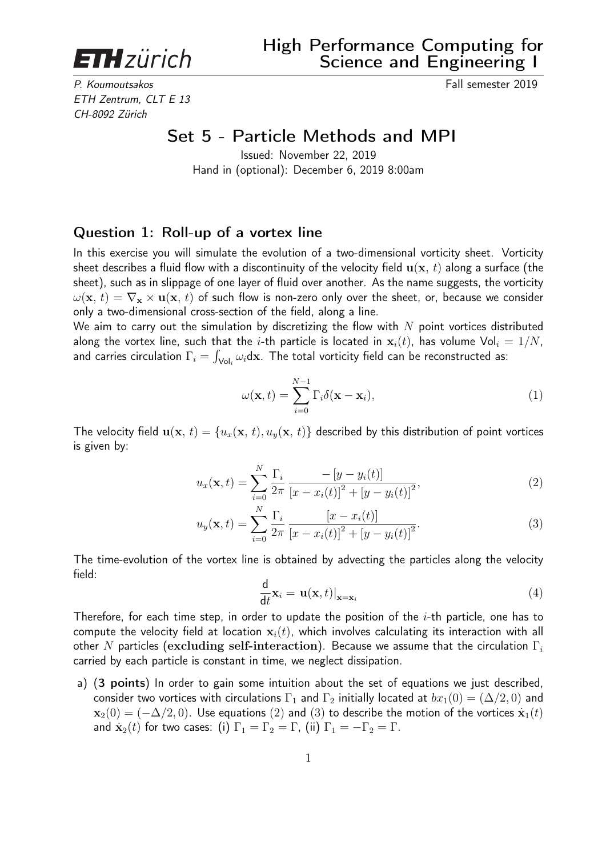**ETH** zürich

P. Koumoutsakos Fall semester 2019 ETH Zentrum, CLT E 13 CH-8092 Zürich

## Set 5 - Particle Methods and MPI

Issued: November 22, 2019 Hand in (optional): December 6, 2019 8:00am

## Question 1: Roll-up of a vortex line

In this exercise you will simulate the evolution of a two-dimensional vorticity sheet. Vorticity sheet describes a fluid flow with a discontinuity of the velocity field  $\mathbf{u}(\mathbf{x}, t)$  along a surface (the sheet), such as in slippage of one layer of fluid over another. As the name suggests, the vorticity  $\omega(\mathbf{x}, t) = \nabla_{\mathbf{x}} \times \mathbf{u}(\mathbf{x}, t)$  of such flow is non-zero only over the sheet, or, because we consider only a two-dimensional cross-section of the field, along a line.

We aim to carry out the simulation by discretizing the flow with  $N$  point vortices distributed along the vortex line, such that the *i*-th particle is located in  $x_i(t)$ , has volume Vol<sub>i</sub> =  $1/N$ , and carries circulation  $\Gamma_i = \int_{\mathsf{Vol}_i} \omega_i \mathsf{dx}.$  The total vorticity field can be reconstructed as:

$$
\omega(\mathbf{x},t) = \sum_{i=0}^{N-1} \Gamma_i \delta(\mathbf{x} - \mathbf{x}_i),
$$
\n(1)

The velocity field  $\mathbf{u}(\mathbf{x}, t) = \{u_x(\mathbf{x}, t), u_y(\mathbf{x}, t)\}\)$  described by this distribution of point vortices is given by:

$$
u_x(\mathbf{x}, t) = \sum_{i=0}^{N} \frac{\Gamma_i}{2\pi} \frac{-[y - y_i(t)]}{[x - x_i(t)]^2 + [y - y_i(t)]^2},
$$
\n(2)

$$
u_y(\mathbf{x}, t) = \sum_{i=0}^{N} \frac{\Gamma_i}{2\pi} \frac{[x - x_i(t)]}{[x - x_i(t)]^2 + [y - y_i(t)]^2}.
$$
 (3)

The time-evolution of the vortex line is obtained by advecting the particles along the velocity field:

$$
\frac{\mathrm{d}}{\mathrm{d}t}\mathbf{x}_{i} = \mathbf{u}(\mathbf{x},t)|_{\mathbf{x}=\mathbf{x}_{i}} \tag{4}
$$

Therefore, for each time step, in order to update the position of the  $i$ -th particle, one has to compute the velocity field at location  $x_i(t)$ , which involves calculating its interaction with all other N particles (excluding self-interaction). Because we assume that the circulation  $\Gamma_i$ carried by each particle is constant in time, we neglect dissipation.

a) (3 points) In order to gain some intuition about the set of equations we just described, consider two vortices with circulations  $\Gamma_1$  and  $\Gamma_2$  initially located at  $bx_1(0) = (\Delta/2, 0)$  and  $\mathbf{x}_2(0) = (-\Delta/2, 0)$ . Use equations (2) and (3) to describe the motion of the vortices  $\dot{\mathbf{x}}_1(t)$ and  $\dot{\mathbf{x}}_2(t)$  for two cases: (i)  $\Gamma_1 = \Gamma_2 = \Gamma$ , (ii)  $\Gamma_1 = -\Gamma_2 = \Gamma$ .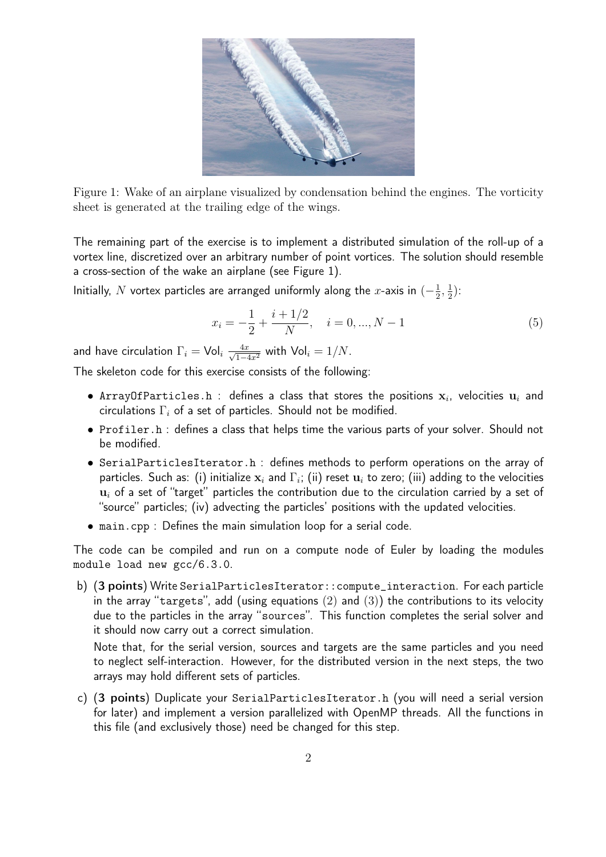

Figure 1: Wake of an airplane visualized by condensation behind the engines. The vorticity sheet is generated at the trailing edge of the wings.

The remaining part of the exercise is to implement a distributed simulation of the roll-up of a vortex line, discretized over an arbitrary number of point vortices. The solution should resemble a cross-section of the wake an airplane (see Figure 1).

Initially, N vortex particles are arranged uniformly along the x-axis in  $\left(-\frac{1}{2}\right)$  $\frac{1}{2}, \frac{1}{2}$  $(\frac{1}{2})$ :

$$
x_i = -\frac{1}{2} + \frac{i + 1/2}{N}, \quad i = 0, ..., N - 1
$$
\n(5)

and have circulation  $\Gamma_i = \mathsf{Vol}_i\;\frac{4x}{\sqrt{1-4x^2}}$  with  $\mathsf{Vol}_i = 1/N.$ 

The skeleton code for this exercise consists of the following:

- $\bullet$  ArrayOfParticles.h : defines a class that stores the positions  $\mathbf{x}_i$ , velocities  $\mathbf{u}_i$  and circulations  $\Gamma_i$  of a set of particles. Should not be modified.
- Profiler.h : defines a class that helps time the various parts of your solver. Should not be modified.
- SerialParticlesIterator.h : defines methods to perform operations on the array of particles. Such as: (i) initialize  $\mathbf{x}_i$  and  $\Gamma_i;$  (ii) reset  $\mathbf{u}_i$  to zero; (iii) adding to the velocities  $u_i$  of a set of "target" particles the contribution due to the circulation carried by a set of "source" particles; (iv) advecting the particles' positions with the updated velocities.
- main.cpp : Defines the main simulation loop for a serial code.

The code can be compiled and run on a compute node of Euler by loading the modules module load new gcc/6.3.0.

b) (3 points) Write SerialParticlesIterator::compute\_interaction. For each particle in the array "targets", add (using equations  $(2)$  and  $(3)$ ) the contributions to its velocity due to the particles in the array "sources". This function completes the serial solver and it should now carry out a correct simulation.

Note that, for the serial version, sources and targets are the same particles and you need to neglect self-interaction. However, for the distributed version in the next steps, the two arrays may hold different sets of particles.

c) (3 points) Duplicate your SerialParticlesIterator.h (you will need a serial version for later) and implement a version parallelized with OpenMP threads. All the functions in this file (and exclusively those) need be changed for this step.